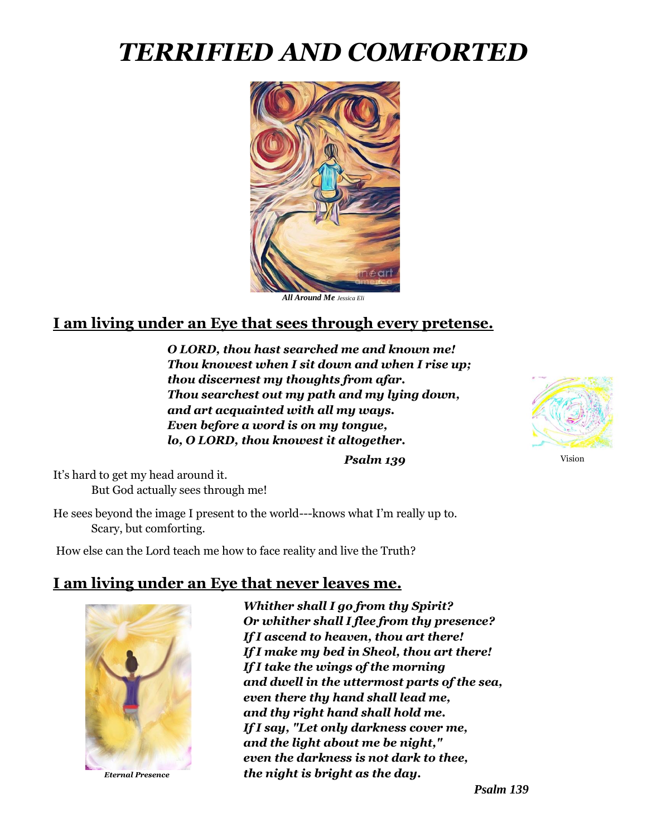# *TERRIFIED AND COMFORTED*



*All Around Me Jessica Eli*

## **I am living under an Eye that sees through every pretense.**

*O LORD, thou hast searched me and known me! Thou knowest when I sit down and when I rise up; thou discernest my thoughts from afar. Thou searchest out my path and my lying down, and art acquainted with all my ways. Even before a word is on my tongue, lo, O LORD, thou knowest it altogether.*



*Psalm 139*

It's hard to get my head around it. But God actually sees through me!

He sees beyond the image I present to the world---knows what I'm really up to. Scary, but comforting.

How else can the Lord teach me how to face reality and live the Truth?

## **I am living under an Eye that never leaves me.**



*Eternal Presence*

*Whither shall I go from thy Spirit? Or whither shall I flee from thy presence? If I ascend to heaven, thou art there! If I make my bed in Sheol, thou art there! If I take the wings of the morning and dwell in the uttermost parts of the sea, even there thy hand shall lead me, and thy right hand shall hold me. If I say, "Let only darkness cover me, and the light about me be night," even the darkness is not dark to thee, the night is bright as the day.* 

*Psalm 139*